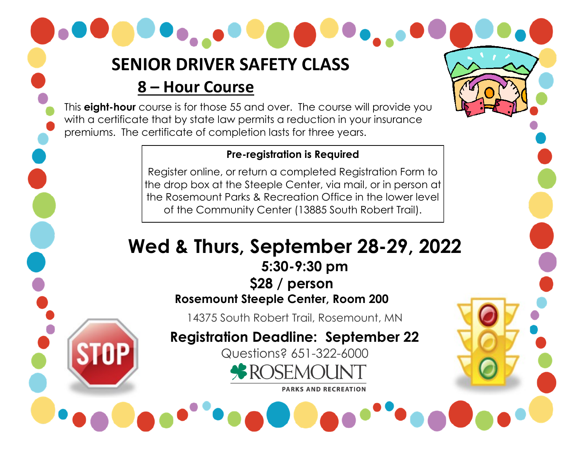# **SENIOR DRIVER SAFETY CLASS**

### **8 – Hour Course**

This **eight-hour** course is for those 55 and over. The course will provide you with a certificate that by state law permits a reduction in your insurance premiums. The certificate of completion lasts for three years.

#### **Pre-registration is Required**

Register online, or return a completed Registration Form to the drop box at the Steeple Center, via mail, or in person at the Rosemount Parks & Recreation Office in the lower level of the Community Center (13885 South Robert Trail).

# **Wed & Thurs, September 28-29, 2022 5:30-9:30 pm \$28 / person Rosemount Steeple Center, Room 200**

14375 South Robert Trail, Rosemount, MN

**Registration Deadline: September 22**

Questions? 651-322-6000

**BROSEMOL** 

**PARKS AND RECREATION**